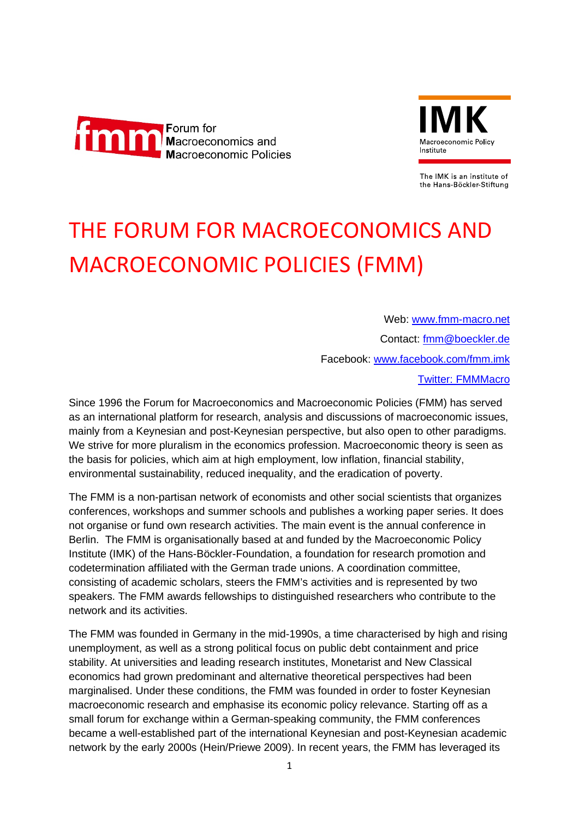



The IMK is an institute of the Hans-Böckler-Stiftung

## THE FORUM FOR MACROECONOMICS AND MACROECONOMIC POLICIES (FMM)

Web: [www.fmm-macro.net](http://www.fmm-macro.net/) Contact: [fmm@boeckler.de](mailto:fmm@boeckler.de) Facebook: [www.facebook.com/fmm.imk](http://www.facebook.com/fmm.imk) Twitter: FMMMacro

Since 1996 the Forum for Macroeconomics and Macroeconomic Policies (FMM) has served as an international platform for research, analysis and discussions of macroeconomic issues, mainly from a Keynesian and post-Keynesian perspective, but also open to other paradigms. We strive for more pluralism in the economics profession. Macroeconomic theory is seen as the basis for policies, which aim at high employment, low inflation, financial stability, environmental sustainability, reduced inequality, and the eradication of poverty.

The FMM is a non-partisan network of economists and other social scientists that organizes conferences, workshops and summer schools and publishes a working paper series. It does not organise or fund own research activities. The main event is the annual conference in Berlin. The FMM is organisationally based at and funded by the Macroeconomic Policy Institute (IMK) of the Hans-Böckler-Foundation, a foundation for research promotion and codetermination affiliated with the German trade unions. A coordination committee, consisting of academic scholars, steers the FMM's activities and is represented by two speakers. The FMM awards fellowships to distinguished researchers who contribute to the network and its activities.

The FMM was founded in Germany in the mid-1990s, a time characterised by high and rising unemployment, as well as a strong political focus on public debt containment and price stability. At universities and leading research institutes, Monetarist and New Classical economics had grown predominant and alternative theoretical perspectives had been marginalised. Under these conditions, the FMM was founded in order to foster Keynesian macroeconomic research and emphasise its economic policy relevance. Starting off as a small forum for exchange within a German-speaking community, the FMM conferences became a well-established part of the international Keynesian and post-Keynesian academic network by the early 2000s (Hein/Priewe 2009). In recent years, the FMM has leveraged its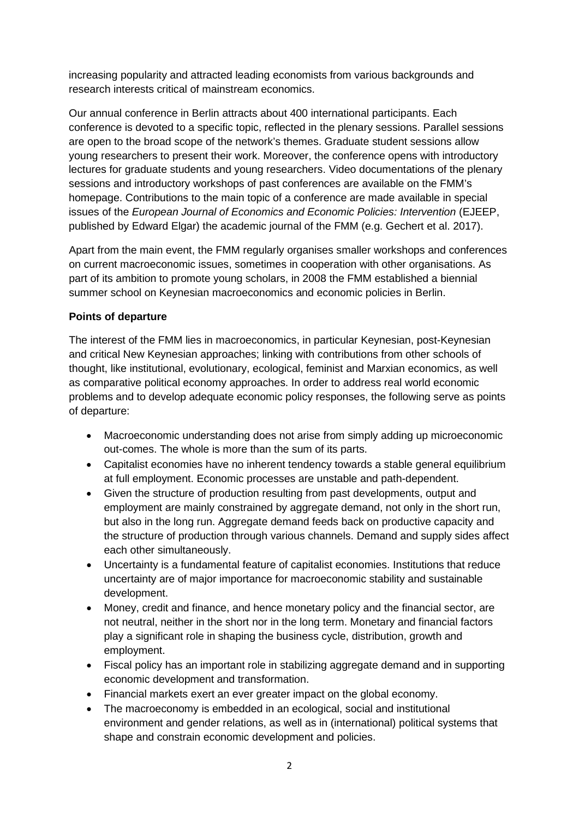increasing popularity and attracted leading economists from various backgrounds and research interests critical of mainstream economics.

Our annual conference in Berlin attracts about 400 international participants. Each conference is devoted to a specific topic, reflected in the plenary sessions. Parallel sessions are open to the broad scope of the network's themes. Graduate student sessions allow young researchers to present their work. Moreover, the conference opens with introductory lectures for graduate students and young researchers. Video documentations of the plenary sessions and introductory workshops of past conferences are available on the FMM's homepage. Contributions to the main topic of a conference are made available in special issues of the *European Journal of Economics and Economic Policies: Intervention* (EJEEP, published by Edward Elgar) the academic journal of the FMM (e.g. Gechert et al. 2017).

Apart from the main event, the FMM regularly organises smaller workshops and conferences on current macroeconomic issues, sometimes in cooperation with other organisations. As part of its ambition to promote young scholars, in 2008 the FMM established a biennial summer school on Keynesian macroeconomics and economic policies in Berlin.

## **Points of departure**

The interest of the FMM lies in macroeconomics, in particular Keynesian, post-Keynesian and critical New Keynesian approaches; linking with contributions from other schools of thought, like institutional, evolutionary, ecological, feminist and Marxian economics, as well as comparative political economy approaches. In order to address real world economic problems and to develop adequate economic policy responses, the following serve as points of departure:

- Macroeconomic understanding does not arise from simply adding up microeconomic out-comes. The whole is more than the sum of its parts.
- Capitalist economies have no inherent tendency towards a stable general equilibrium at full employment. Economic processes are unstable and path-dependent.
- Given the structure of production resulting from past developments, output and employment are mainly constrained by aggregate demand, not only in the short run, but also in the long run. Aggregate demand feeds back on productive capacity and the structure of production through various channels. Demand and supply sides affect each other simultaneously.
- Uncertainty is a fundamental feature of capitalist economies. Institutions that reduce uncertainty are of major importance for macroeconomic stability and sustainable development.
- Money, credit and finance, and hence monetary policy and the financial sector, are not neutral, neither in the short nor in the long term. Monetary and financial factors play a significant role in shaping the business cycle, distribution, growth and employment.
- Fiscal policy has an important role in stabilizing aggregate demand and in supporting economic development and transformation.
- Financial markets exert an ever greater impact on the global economy.
- The macroeconomy is embedded in an ecological, social and institutional environment and gender relations, as well as in (international) political systems that shape and constrain economic development and policies.